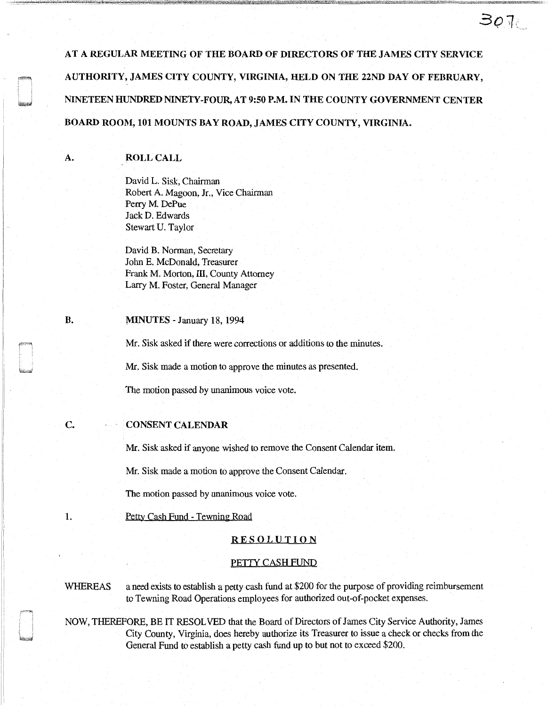AT A REGULAR MEETING OF THE BOARD OF DIRECTORS OF THE JAMES CITY SERVICE AUTHORITY, JAMES CITY COUNTY, VIRGINIA, HELD ON THE 22ND DAY OF FEBRUARY, NINETEEN HUNDRED NINETY-FOUR, AT 9:50 P.M. IN THE COUNTY GOVERNMENT CENTER BOARD ROOM, 101 MOUNTS BAY ROAD, JAMES CITY COUNTY, VIRGINIA.

 $307$ 

# ROLL CALL

A.

David L. Sisk, Chairman Robert A. Magoon, Jr., Vice Chairman Perry M. DePue JackD. Edwards Stewart U. Taylor

David B. Norman, Secretary John E. McDonald, Treasurer Frank M. Morton, III, County Attorney Larry M. Foster, General Manager

#### B. MINUTES - January 18, 1994

Mr. Sisk asked if there were corrections or additions to the minutes.

Mr. Sisk made a motion to approve the minutes as presented.

The motion passed by unanimous voice vote.

# CONSENT CALENDAR

Mr. Sisk asked if anyone wished to remove the Consent Calendar item.

Mr. Sisk made a motion to approve the Consent Calendar.

The motion passed by unanimous voice vote.

Petty Cash Fund - Tewning Road

### RESOLUTION

#### PETTY CASH FUND

c.

1.

WHEREAS a need exists to establish a petty cash fund at \$200 for the purpose of providing reimbursement to Tewning Road Operations employees for authorized out-of-pocket expenses.

NOW, THEREFORE, BE IT RESOLVED that the Board of Directors of James City Service Authority, James City County, Virginia, does hereby authorize its Treasurer to issue a check or checks from the General Fund to establish a petty cash fund up to but not to exceed \$200.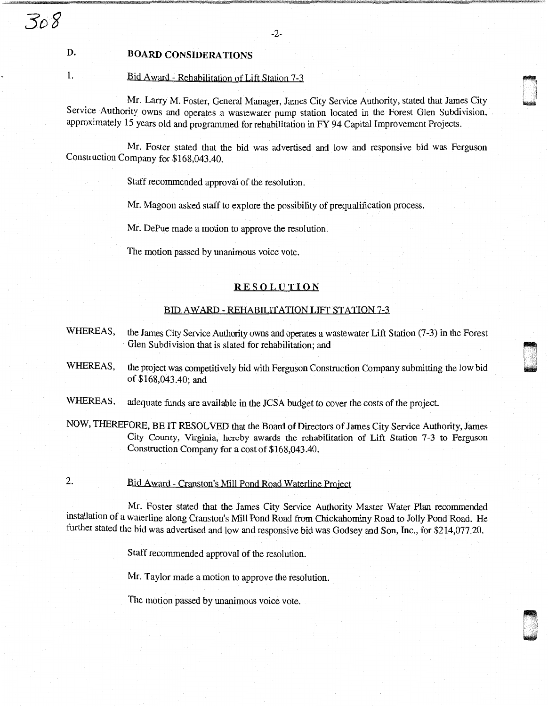# D. BOARD CONSIDERATIONS

# 1. Bid Award - Rehabilitation of Lift Station 7-3

Mr. Larry M. Foster, General Manager, James City Service Authority, stated that James City Service Authority owns and operates a wastewater pump station located in the Forest Glen Subdivision, approximately 15 years old and programmed for rehabilitation in FY 94 Capital Improvement Projects.

 $\bullet$ : I w

G ! '

Mr. Foster stated that the bid was advertised and low and responsive bid was Ferguson Construction Company for \$168,043.40.

Staff recommended approval of the resolution.

Mr. Magoon asked staff to explore the possibility of prequalification process.

Mr. DePue made a motion to approve the resolution.

The motion passed by unanimous voice vote.

### RESOLUTION

#### BID AWARD - REHABILITATION LIFT STATION 7-3

- WHEREAS, the James City Service Authority owns and operates a wastewater Lift Station (7-3) in the Forest Glen Subdivision that is slated for rehabilitation; and
- WHEREAS, the project was competitively bid with Ferguson Construction Company submitting the low bid of \$168,043.40; and
- WHEREAS, adequate funds are available in the JCSA budget to cover the costs of the project.
- NOW, THEREFORE, BE IT RESOLVED that the Board of Directors of James City Service Authority, James City County, Virginia, hereby awards the rehabilitation of Lift Station 7-3 to Ferguson Construction Company for a cost of \$168,043.40.
- 2. Bid Award Cranston's Mill Pond Road Waterline Project

Mr. Foster stated that the James City Service Authority Master Water Plan recommended installation of a waterline along Cranston's Mill Pond Road from Chickahominy Road to Jolly Pond Road. He further stated the bid was advertised and low and responsive bid was Godsey and Son, Inc., for \$214,077.20.

Staff recommended approval of the resolution.

Mr. Taylor made a motion to approve the resolution.

The motion passed by unanimous voice vote.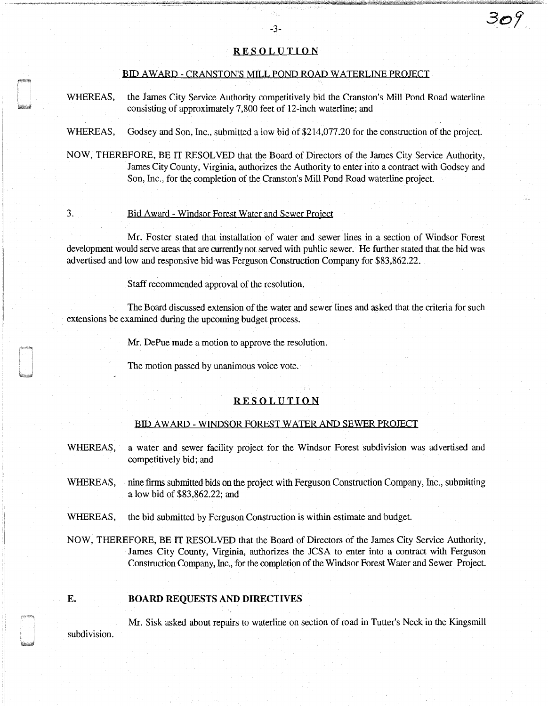# **RESOLUTION**

-3-

### BID AWARD - CRANSTON'S MILL POND ROAD WATERLINE PROJECT

- WHEREAS, the James City Service Authority competitively bid the Cranston's Mill Pond Road waterline consisting of approximately 7,800 feet of 12-inch waterline; and
- WHEREAS, Godsey and Son, Inc., submitted a low bid of \$214,077.20 for the construction of the project.
- NOW, THEREFORE, BE IT RESOLVED that the Board of Directors of the James City Service Authority, James City County, Virginia, authorizes the Authority to enter into a contract with Godsey and Son, Inc., for the completion of the Cranston's Mill Pond Road waterline project.

# 3. Bid Award - Windsor Forest Water and Sewer Project

Mr. Foster stated that installation of water and sewer lines in a section of Windsor Forest development would serve areas that are currently not served with public sewer. He further stated that the bid was advertised and low and responsive bid was Ferguson Construction Company for \$83,862.22.

Staff recommended approval of the resolution.

The Board discussed extension of the water and sewer lines and asked that the criteria for such extensions be examined during the upcoming budget process.

Mr. DePue made a motion to approve the resolution.

The motion passed by unanimous voice vote.

#### **RESOLUTION**

#### BID AW ARD - WINDSOR FOREST WATER AND SEWER PROJECT

- WHEREAS, a water and sewer facility project for the Windsor Forest subdivision was advertised and competitively bid; and
- WHEREAS, nine firms submitted bids on the project with Ferguson Construction Company, Inc., submitting a low bid of \$83,862.22; and
- WHEREAS, the bid submitted by Ferguson Construction is within estimate and budget.
- NOW, THEREFORE, BE IT RESOLVED that the Board of Directors of the James City Service Authority, James City County, Virginia, authorizes the JCSA to enter into a contract with Ferguson Construction Company, Inc., for the completion of the Windsor Forest Water and Sewer Project.

# **E. BOARD REQUESTS AND DIRECTIVES**

Mr. Sisk asked about repairs to waterline on section of road in Tutter's Neck in the Kingsmill subdivision.